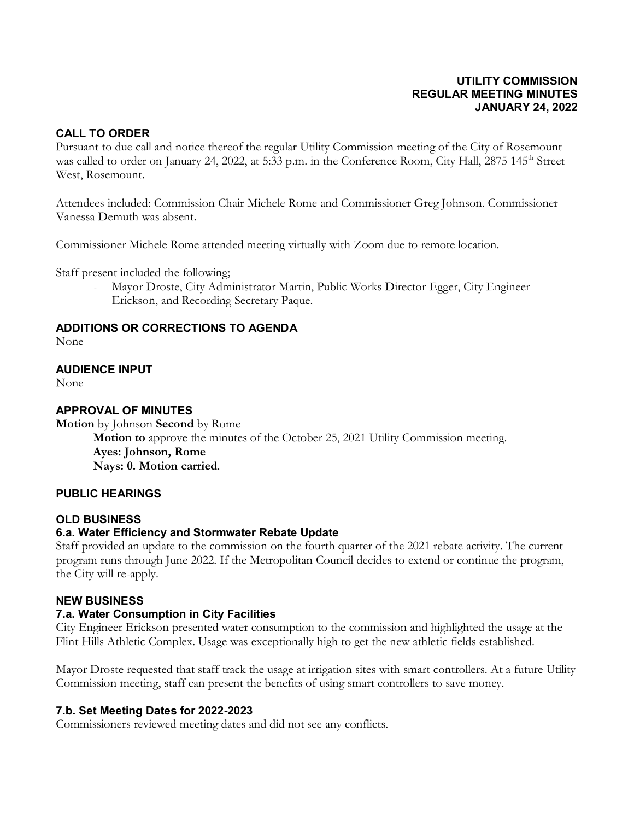### **UTILITY COMMISSION REGULAR MEETING MINUTES JANUARY 24, 2022**

### **CALL TO ORDER**

Pursuant to due call and notice thereof the regular Utility Commission meeting of the City of Rosemount was called to order on January 24, 2022, at 5:33 p.m. in the Conference Room, City Hall, 2875 145<sup>th</sup> Street West, Rosemount.

Attendees included: Commission Chair Michele Rome and Commissioner Greg Johnson. Commissioner Vanessa Demuth was absent.

Commissioner Michele Rome attended meeting virtually with Zoom due to remote location.

Staff present included the following;

- Mayor Droste, City Administrator Martin, Public Works Director Egger, City Engineer Erickson, and Recording Secretary Paque.

### **ADDITIONS OR CORRECTIONS TO AGENDA**

None

### **AUDIENCE INPUT**

None

### **APPROVAL OF MINUTES**

**Motion** by Johnson **Second** by Rome **Motion to** approve the minutes of the October 25, 2021 Utility Commission meeting. **Ayes: Johnson, Rome Nays: 0. Motion carried**.

#### **PUBLIC HEARINGS**

### **OLD BUSINESS**

### **6.a. Water Efficiency and Stormwater Rebate Update**

Staff provided an update to the commission on the fourth quarter of the 2021 rebate activity. The current program runs through June 2022. If the Metropolitan Council decides to extend or continue the program, the City will re-apply.

#### **NEW BUSINESS**

### **7.a. Water Consumption in City Facilities**

City Engineer Erickson presented water consumption to the commission and highlighted the usage at the Flint Hills Athletic Complex. Usage was exceptionally high to get the new athletic fields established.

Mayor Droste requested that staff track the usage at irrigation sites with smart controllers. At a future Utility Commission meeting, staff can present the benefits of using smart controllers to save money.

### **7.b. Set Meeting Dates for 2022-2023**

Commissioners reviewed meeting dates and did not see any conflicts.